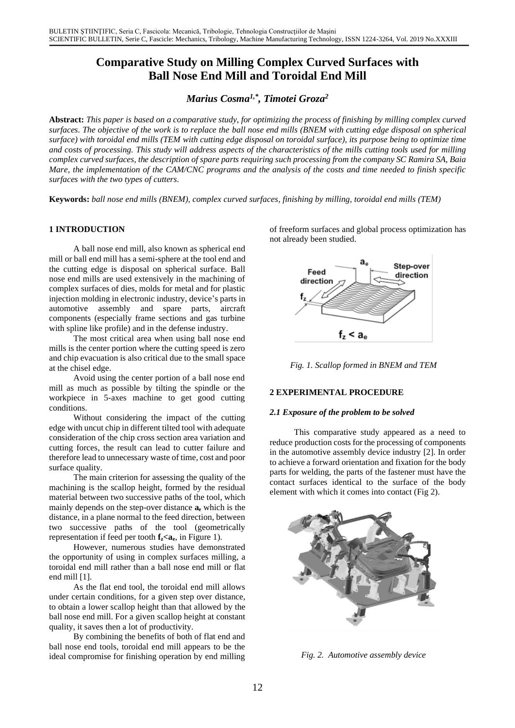# **Comparative Study on Milling Complex Curved Surfaces with Ball Nose End Mill and Toroidal End Mill**

## *Marius Cosma 1,\* , Timotei Groza<sup>2</sup>*

**Abstract:** *This paper is based on a comparative study, for optimizing the process of finishing by milling complex curved surfaces. The objective of the work is to replace the ball nose end mills (BNEM with cutting edge disposal on spherical surface) with toroidal end mills (TEM with cutting edge disposal on toroidal surface), its purpose being to optimize time and costs of processing. This study will address aspects of the characteristics of the mills cutting tools used for milling complex curved surfaces, the description of spare parts requiring such processing from the company SC Ramira SA, Baia Mare, the implementation of the CAM/CNC programs and the analysis of the costs and time needed to finish specific surfaces with the two types of cutters.*

**Keywords:** *ball nose end mills (BNEM), complex curved surfaces, finishing by milling, toroidal end mills (TEM)*

## **1 INTRODUCTION**

A ball nose end mill, also known as spherical end mill or ball end mill has a semi-sphere at the tool end and the cutting edge is disposal on spherical surface. Ball nose end mills are used extensively in the machining of complex surfaces of dies, molds for metal and for plastic injection molding in electronic industry, device's parts in automotive assembly and spare parts, aircraft components (especially frame sections and gas turbine with spline like profile) and in the defense industry.

The most critical area when using ball nose end mills is the center portion where the cutting speed is zero and chip evacuation is also critical due to the small space at the chisel edge.

Avoid using the center portion of a ball nose end mill as much as possible by tilting the spindle or the workpiece in 5-axes machine to get good cutting conditions.

Without considering the impact of the cutting edge with uncut chip in different tilted tool with adequate consideration of the chip cross section area variation and cutting forces, the result can lead to cutter failure and therefore lead to unnecessary waste of time, cost and poor surface quality.

The main criterion for assessing the quality of the machining is the scallop height, formed by the residual material between two successive paths of the tool, which mainly depends on the step-over distance **a<sup>e</sup>** which is the distance, in a plane normal to the feed direction, between two successive paths of the tool (geometrically representation if feed per tooth  $f_z \le a_e$ , in Figure 1).

However, numerous studies have demonstrated the opportunity of using in complex surfaces milling, a toroidal end mill rather than a ball nose end mill or flat end mill [1].

As the flat end tool, the toroidal end mill allows under certain conditions, for a given step over distance, to obtain a lower scallop height than that allowed by the ball nose end mill. For a given scallop height at constant quality, it saves then a lot of productivity.

By combining the benefits of both of flat end and ball nose end tools, toroidal end mill appears to be the ideal compromise for finishing operation by end milling of freeform surfaces and global process optimization has not already been studied.



*Fig. 1. Scallop formed in BNEM and TEM*

#### **2 EXPERIMENTAL PROCEDURE**

#### *2.1 Exposure of the problem to be solved*

This comparative study appeared as a need to reduce production costs for the processing of components in the automotive assembly device industry [2]. In order to achieve a forward orientation and fixation for the body parts for welding, the parts of the fastener must have the contact surfaces identical to the surface of the body element with which it comes into contact (Fig 2).



*Fig. 2. Automotive assembly device*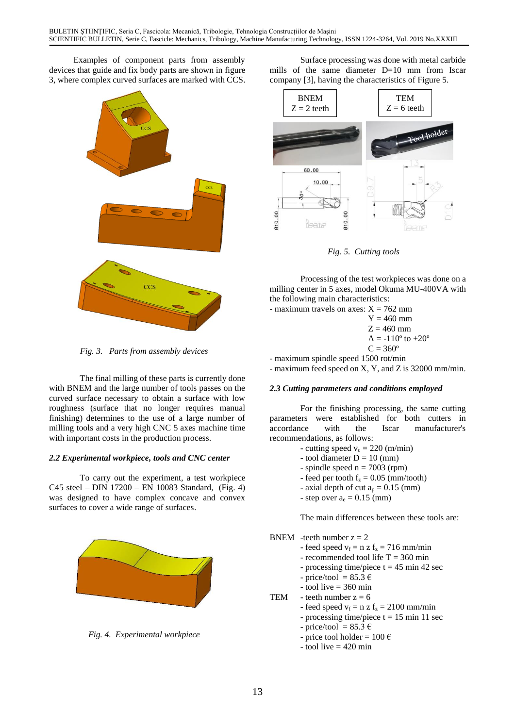Examples of component parts from assembly devices that guide and fix body parts are shown in figure 3, where complex curved surfaces are marked with CCS.



*Fig. 3. Parts from assembly devices*

The final milling of these parts is currently done with BNEM and the large number of tools passes on the curved surface necessary to obtain a surface with low roughness (surface that no longer requires manual finishing) determines to the use of a large number of milling tools and a very high CNC 5 axes machine time with important costs in the production process.

## *2.2 Experimental workpiece, tools and CNC center*

To carry out the experiment, a test workpiece C45 steel – DIN 17200 – EN 10083 Standard, (Fig. 4) was designed to have complex concave and convex surfaces to cover a wide range of surfaces.



*Fig. 4. Experimental workpiece*

Surface processing was done with metal carbide mills of the same diameter D=10 mm from Iscar company [3], having the characteristics of Figure 5.



*Fig. 5. Cutting tools*

Processing of the test workpieces was done on a milling center in 5 axes, model Okuma MU-400VA with the following main characteristics:

- maximum travels on axes:  $X = 762$  mm

 $Y = 460$  mm  $Z = 460$  mm  $A = -110^{\circ}$  to  $+20^{\circ}$  $C = 360^{\circ}$ 

- maximum spindle speed 1500 rot/min

- maximum feed speed on X, Y, and Z is 32000 mm/min.

## *2.3 Cutting parameters and conditions employed*

For the finishing processing, the same cutting parameters were established for both cutters in accordance with the Iscar manufacturer's recommendations, as follows:

- cutting speed  $v_c = 220$  (m/min)
- tool diameter  $D = 10$  (mm)
- spindle speed  $n = 7003$  (rpm)
- feed per tooth  $f_z = 0.05$  (mm/tooth)
- axial depth of cut  $a_p = 0.15$  (mm)
- step over  $a_e = 0.15$  (mm)

The main differences between these tools are:

- BNEM -teeth number  $z = 2$ 
	- feed speed  $v_f = n z f_z = 716$  mm/min
	- recommended tool life  $T = 360$  min
	- processing time/piece  $t = 45$  min 42 sec
	- price/tool =  $85.3 \text{ } \in$
	- $-$  tool live = 360 min
- TEM teeth number  $z = 6$ 
	- feed speed  $v_f = n z f_z = 2100$  mm/min
	- processing time/piece  $t = 15$  min 11 sec
	- price/tool =  $85.3 \text{ } \in$
	- price tool holder =  $100 \text{ } \in$
	- $-$  tool live  $= 420$  min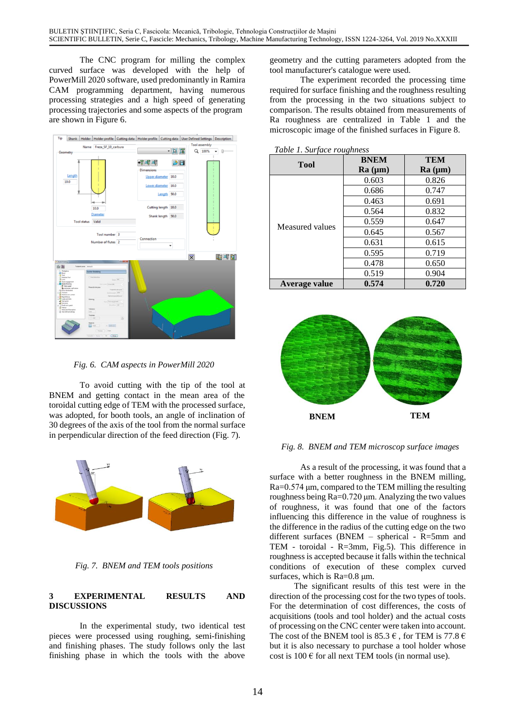The CNC program for milling the complex curved surface was developed with the help of PowerMill 2020 software, used predominantly in Ramira CAM programming department, having numerous processing strategies and a high speed of generating processing trajectories and some aspects of the program are shown in Figure 6.



*Fig. 6. CAM aspects in PowerMill 2020*

To avoid cutting with the tip of the tool at BNEM and getting contact in the mean area of the toroidal cutting edge of TEM with the processed surface, was adopted, for booth tools, an angle of inclination of 30 degrees of the axis of the tool from the normal surface in perpendicular direction of the feed direction (Fig. 7).



*Fig. 7. BNEM and TEM tools positions*

## **3 EXPERIMENTAL RESULTS AND DISCUSSIONS**

In the experimental study, two identical test pieces were processed using roughing, semi-finishing and finishing phases. The study follows only the last finishing phase in which the tools with the above

geometry and the cutting parameters adopted from the tool manufacturer's catalogue were used.

The experiment recorded the processing time required for surface finishing and the roughness resulting from the processing in the two situations subject to comparison. The results obtained from measurements of Ra roughness are centralized in Table 1 and the microscopic image of the finished surfaces in Figure 8.

|                 | <b>BNEM</b> | TEM             |  |
|-----------------|-------------|-----------------|--|
| <b>Tool</b>     | Ra (µm)     | $Ra$ ( $\mu$ m) |  |
| Measured values | 0.603       | 0.826           |  |
|                 | 0.686       | 0.747           |  |
|                 | 0.463       | 0.691           |  |
|                 | 0.564       | 0.832           |  |
|                 | 0.559       | 0.647           |  |
|                 | 0.645       | 0.567           |  |
|                 | 0.631       | 0.615           |  |
|                 | 0.595       | 0.719           |  |
|                 | 0.478       | 0.650           |  |
|                 | 0.519       | 0.904           |  |
| Average value   | 0.574       | 0.720           |  |

*Table 1. Surface roughness*



*Fig. 8. BNEM and TEM microscop surface images*

As a result of the processing, it was found that a surface with a better roughness in the BNEM milling, Ra=0.574 μm, compared to the TEM milling the resulting roughness being Ra=0.720 μm. Analyzing the two values of roughness, it was found that one of the factors influencing this difference in the value of roughness is the difference in the radius of the cutting edge on the two different surfaces (BNEM – spherical - R=5mm and TEM - toroidal - R=3mm, Fig.5). This difference in roughness is accepted because it falls within the technical conditions of execution of these complex curved surfaces, which is Ra=0.8 μm.

The significant results of this test were in the direction of the processing cost for the two types of tools. For the determination of cost differences, the costs of acquisitions (tools and tool holder) and the actual costs of processing on the CNC center were taken into account. The cost of the BNEM tool is 85.3  $\epsilon$ , for TEM is 77.8  $\epsilon$ but it is also necessary to purchase a tool holder whose cost is  $100 \text{ }\epsilon$  for all next TEM tools (in normal use).